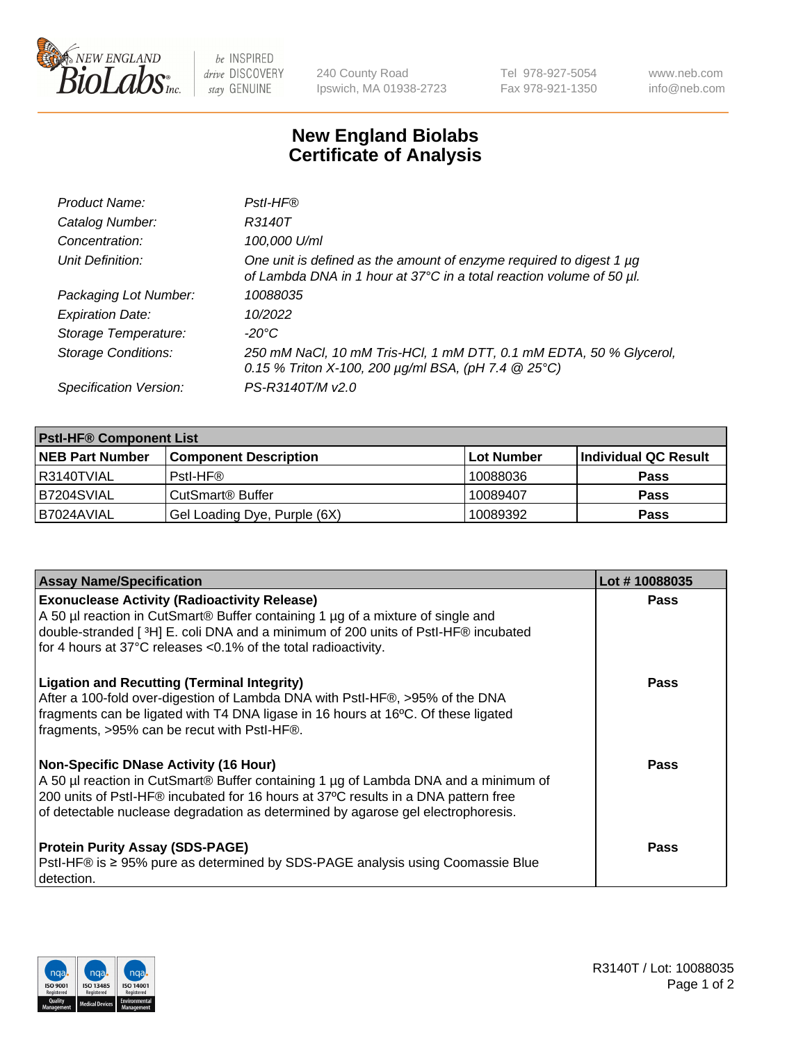

 $be$  INSPIRED drive DISCOVERY stay GENUINE

240 County Road Ipswich, MA 01938-2723 Tel 978-927-5054 Fax 978-921-1350 www.neb.com info@neb.com

## **New England Biolabs Certificate of Analysis**

| Product Name:              | Pstl-HF®                                                                                                                                             |
|----------------------------|------------------------------------------------------------------------------------------------------------------------------------------------------|
| Catalog Number:            | R3140T                                                                                                                                               |
| Concentration:             | 100,000 U/ml                                                                                                                                         |
| Unit Definition:           | One unit is defined as the amount of enzyme required to digest 1 µg<br>of Lambda DNA in 1 hour at 37°C in a total reaction volume of 50 µl.          |
| Packaging Lot Number:      | 10088035                                                                                                                                             |
| <b>Expiration Date:</b>    | 10/2022                                                                                                                                              |
| Storage Temperature:       | $-20^{\circ}$ C                                                                                                                                      |
| <b>Storage Conditions:</b> | 250 mM NaCl, 10 mM Tris-HCl, 1 mM DTT, 0.1 mM EDTA, 50 % Glycerol,<br>0.15 % Triton X-100, 200 $\mu$ g/ml BSA, (pH 7.4 $\textcircled{25}^{\circ}$ C) |
| Specification Version:     | PS-R3140T/M v2.0                                                                                                                                     |

| <b>PstI-HF® Component List</b> |                                    |                   |                      |  |
|--------------------------------|------------------------------------|-------------------|----------------------|--|
| <b>NEB Part Number</b>         | <b>Component Description</b>       | <b>Lot Number</b> | Individual QC Result |  |
| I R3140TVIAL                   | Pstl-HF®                           | 10088036          | <b>Pass</b>          |  |
| B7204SVIAL                     | <b>CutSmart<sup>®</sup> Buffer</b> | 10089407          | <b>Pass</b>          |  |
| B7024AVIAL                     | Gel Loading Dye, Purple (6X)       | 10089392          | <b>Pass</b>          |  |

| <b>Assay Name/Specification</b>                                                                                                                                                                                                                                                                               | Lot #10088035 |
|---------------------------------------------------------------------------------------------------------------------------------------------------------------------------------------------------------------------------------------------------------------------------------------------------------------|---------------|
| <b>Exonuclease Activity (Radioactivity Release)</b><br>A 50 µl reaction in CutSmart® Buffer containing 1 µg of a mixture of single and<br>double-stranded [3H] E. coli DNA and a minimum of 200 units of PstI-HF® incubated                                                                                   | <b>Pass</b>   |
| for 4 hours at 37°C releases <0.1% of the total radioactivity.                                                                                                                                                                                                                                                |               |
| <b>Ligation and Recutting (Terminal Integrity)</b><br>After a 100-fold over-digestion of Lambda DNA with PstI-HF®, >95% of the DNA<br>fragments can be ligated with T4 DNA ligase in 16 hours at 16°C. Of these ligated<br>fragments, >95% can be recut with PstI-HF®.                                        | Pass          |
| <b>Non-Specific DNase Activity (16 Hour)</b><br>A 50 µl reaction in CutSmart® Buffer containing 1 µg of Lambda DNA and a minimum of<br>200 units of PstI-HF® incubated for 16 hours at 37°C results in a DNA pattern free<br>of detectable nuclease degradation as determined by agarose gel electrophoresis. | Pass          |
| <b>Protein Purity Assay (SDS-PAGE)</b><br>PstI-HF® is ≥ 95% pure as determined by SDS-PAGE analysis using Coomassie Blue<br>I detection.                                                                                                                                                                      | Pass          |